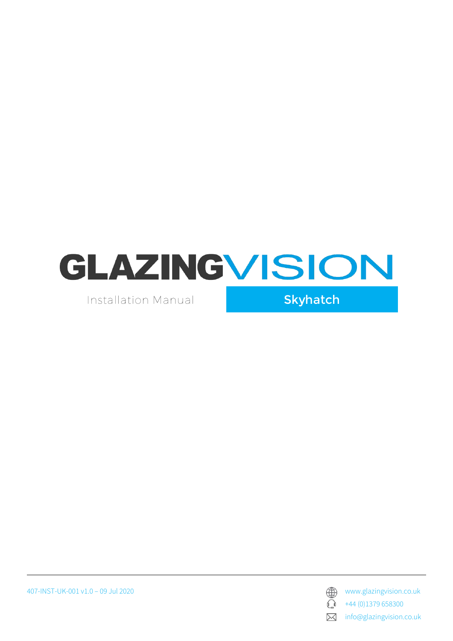

Installation Manual

Skyhatch





+44 (0)1379 658300

 $\boxtimes$ info@glazingvision.co.uk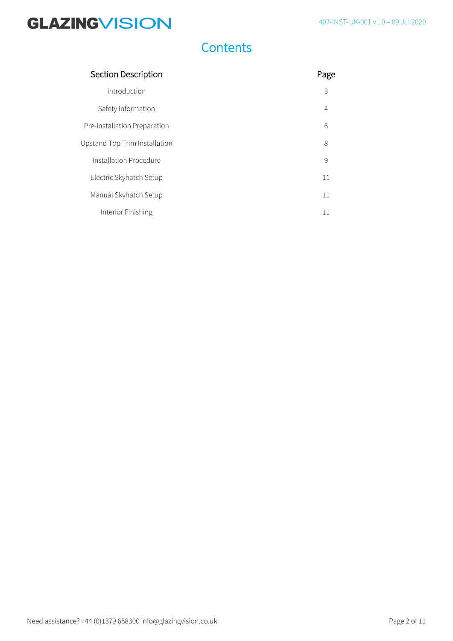#### 407-INST-UK-001 v1.0 – 09 Jul 2020

# **GLAZINGVISION**

## **Contents**

| Section Description           | Page           |
|-------------------------------|----------------|
| Introduction                  | 3              |
| Safety Information            | $\overline{4}$ |
| Pre-Installation Preparation  | 6              |
| Upstand Top Trim Installation | 8              |
| Installation Procedure        | 9              |
| Electric Skyhatch Setup       | 11             |
| Manual Skyhatch Setup         | 11             |
| Interior Finishing            | 11             |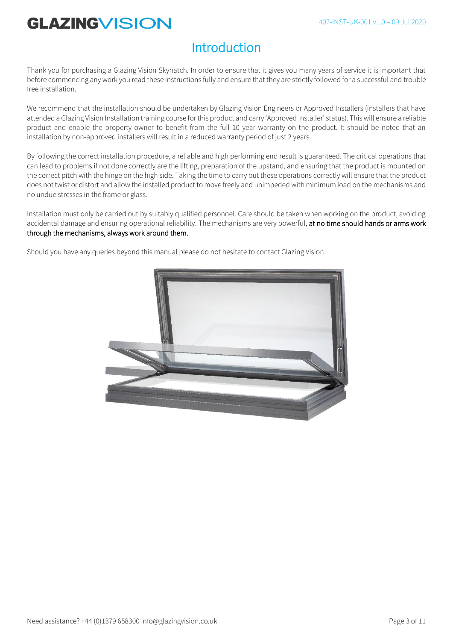### **Introduction**

Thank you for purchasing a Glazing Vision Skyhatch*.* In order to ensure that it gives you many years of service it is important that before commencing any work you read these instructions fully and ensure that they are strictly followed for a successful and trouble free installation.

We recommend that the installation should be undertaken by Glazing Vision Engineers or Approved Installers (installers that have attended a Glazing Vision Installation training course for this product and carry 'Approved Installer' status). This will ensure a reliable product and enable the property owner to benefit from the full 10 year warranty on the product. It should be noted that an installation by non-approved installers will result in a reduced warranty period of just 2 years.

By following the correct installation procedure, a reliable and high performing end result is guaranteed. The critical operations that can lead to problems if not done correctly are the lifting, preparation of the upstand, and ensuring that the product is mounted on the correct pitch with the hinge on the high side. Taking the time to carry out these operations correctly will ensure that the product does not twist or distort and allow the installed product to move freely and unimpeded with minimum load on the mechanisms and no undue stresses in the frame or glass.

Installation must only be carried out by suitably qualified personnel. Care should be taken when working on the product, avoiding accidental damage and ensuring operational reliability. The mechanisms are very powerful, at no time should hands or arms work through the mechanisms, always work around them.

Should you have any queries beyond this manual please do not hesitate to contact Glazing Vision.

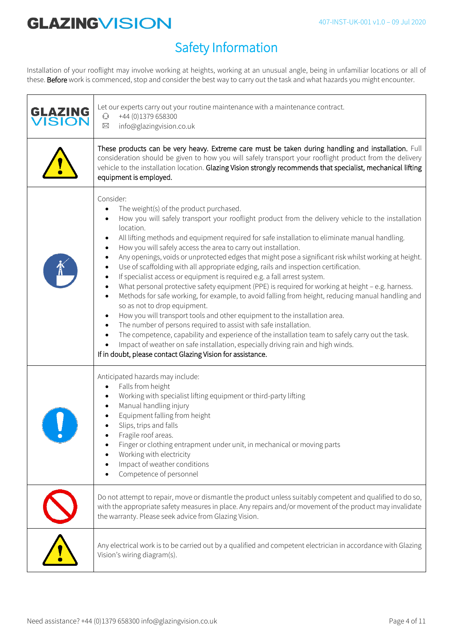## Safety Information

Installation of your rooflight may involve working at heights, working at an unusual angle, being in unfamiliar locations or all of these. Before work is commenced, stop and consider the best way to carry out the task and what hazards you might encounter.

| GLAZING<br><b>ISION</b> | Let our experts carry out your routine maintenance with a maintenance contract.<br>+44 (0)1379 658300<br>$\mathbb{C}$<br>info@glazingvision.co.uk<br>$\boxtimes$                                                                                                                                                                                                                                                                                                                                                                                                                                                                                                                                                                                                                                                                                                                                                                                                                                                                                                                                                                                                                                                                                                         |
|-------------------------|--------------------------------------------------------------------------------------------------------------------------------------------------------------------------------------------------------------------------------------------------------------------------------------------------------------------------------------------------------------------------------------------------------------------------------------------------------------------------------------------------------------------------------------------------------------------------------------------------------------------------------------------------------------------------------------------------------------------------------------------------------------------------------------------------------------------------------------------------------------------------------------------------------------------------------------------------------------------------------------------------------------------------------------------------------------------------------------------------------------------------------------------------------------------------------------------------------------------------------------------------------------------------|
|                         | These products can be very heavy. Extreme care must be taken during handling and installation. Full<br>consideration should be given to how you will safely transport your rooflight product from the delivery<br>vehicle to the installation location. Glazing Vision strongly recommends that specialist, mechanical lifting<br>equipment is employed.                                                                                                                                                                                                                                                                                                                                                                                                                                                                                                                                                                                                                                                                                                                                                                                                                                                                                                                 |
|                         | Consider:<br>The weight(s) of the product purchased.<br>How you will safely transport your rooflight product from the delivery vehicle to the installation<br>location.<br>All lifting methods and equipment required for safe installation to eliminate manual handling.<br>How you will safely access the area to carry out installation.<br>Any openings, voids or unprotected edges that might pose a significant risk whilst working at height.<br>Use of scaffolding with all appropriate edging, rails and inspection certification.<br>If specialist access or equipment is required e.g. a fall arrest system.<br>What personal protective safety equipment (PPE) is required for working at height - e.g. harness.<br>Methods for safe working, for example, to avoid falling from height, reducing manual handling and<br>so as not to drop equipment.<br>How you will transport tools and other equipment to the installation area.<br>The number of persons required to assist with safe installation.<br>The competence, capability and experience of the installation team to safely carry out the task.<br>Impact of weather on safe installation, especially driving rain and high winds.<br>If in doubt, please contact Glazing Vision for assistance. |
|                         | Anticipated hazards may include:<br>Falls from height<br>Working with specialist lifting equipment or third-party lifting<br>Manual handling injury<br>Equipment falling from height<br>Slips, trips and falls<br>Fragile roof areas.<br>Finger or clothing entrapment under unit, in mechanical or moving parts<br>Working with electricity<br>Impact of weather conditions<br>Competence of personnel                                                                                                                                                                                                                                                                                                                                                                                                                                                                                                                                                                                                                                                                                                                                                                                                                                                                  |
|                         | Do not attempt to repair, move or dismantle the product unless suitably competent and qualified to do so,<br>with the appropriate safety measures in place. Any repairs and/or movement of the product may invalidate<br>the warranty. Please seek advice from Glazing Vision.                                                                                                                                                                                                                                                                                                                                                                                                                                                                                                                                                                                                                                                                                                                                                                                                                                                                                                                                                                                           |
|                         | Any electrical work is to be carried out by a qualified and competent electrician in accordance with Glazing<br>Vision's wiring diagram(s).                                                                                                                                                                                                                                                                                                                                                                                                                                                                                                                                                                                                                                                                                                                                                                                                                                                                                                                                                                                                                                                                                                                              |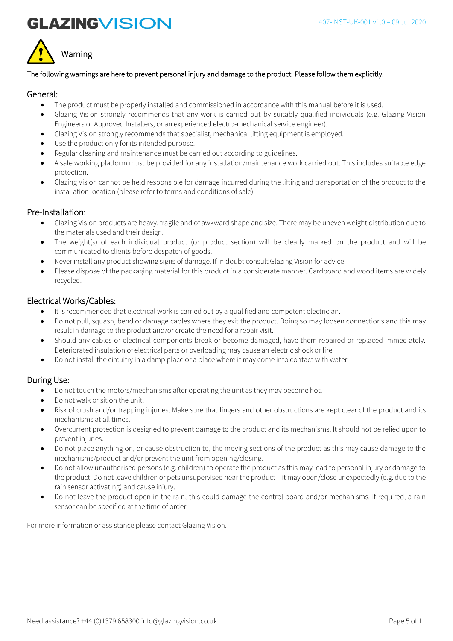



#### The following warnings are here to prevent personal injury and damage to the product. Please follow them explicitly.

#### General:

- The product must be properly installed and commissioned in accordance with this manual before it is used.
- Glazing Vision strongly recommends that any work is carried out by suitably qualified individuals (e.g. Glazing Vision Engineers or Approved Installers, or an experienced electro-mechanical service engineer).
- Glazing Vision strongly recommends that specialist, mechanical lifting equipment is employed.
- Use the product only for its intended purpose.
- Regular cleaning and maintenance must be carried out according to guidelines.
- A safe working platform must be provided for any installation/maintenance work carried out. This includes suitable edge protection.
- Glazing Vision cannot be held responsible for damage incurred during the lifting and transportation of the product to the installation location (please refer to terms and conditions of sale).

#### Pre-Installation:

- Glazing Vision products are heavy, fragile and of awkward shape and size. There may be uneven weight distribution due to the materials used and their design.
- The weight(s) of each individual product (or product section) will be clearly marked on the product and will be communicated to clients before despatch of goods.
- Never install any product showing signs of damage. If in doubt consult Glazing Vision for advice.
- Please dispose of the packaging material for this product in a considerate manner. Cardboard and wood items are widely recycled.

### Electrical Works/Cables:

- It is recommended that electrical work is carried out by a qualified and competent electrician.
- Do not pull, squash, bend or damage cables where they exit the product. Doing so may loosen connections and this may result in damage to the product and/or create the need for a repair visit.
- Should any cables or electrical components break or become damaged, have them repaired or replaced immediately. Deteriorated insulation of electrical parts or overloading may cause an electric shock or fire.
- Do not install the circuitry in a damp place or a place where it may come into contact with water.

### During Use:

- Do not touch the motors/mechanisms after operating the unit as they may become hot.
- Do not walk or sit on the unit.
- Risk of crush and/or trapping injuries. Make sure that fingers and other obstructions are kept clear of the product and its mechanisms at all times.
- Overcurrent protection is designed to prevent damage to the product and its mechanisms. It should not be relied upon to prevent injuries.
- Do not place anything on, or cause obstruction to, the moving sections of the product as this may cause damage to the mechanisms/product and/or prevent the unit from opening/closing.
- Do not allow unauthorised persons (e.g. children) to operate the product as this may lead to personal injury or damage to the product. Do not leave children or pets unsupervised near the product – it may open/close unexpectedly (e.g. due to the rain sensor activating) and cause injury.
- Do not leave the product open in the rain, this could damage the control board and/or mechanisms. If required, a rain sensor can be specified at the time of order.

For more information or assistance please contact Glazing Vision.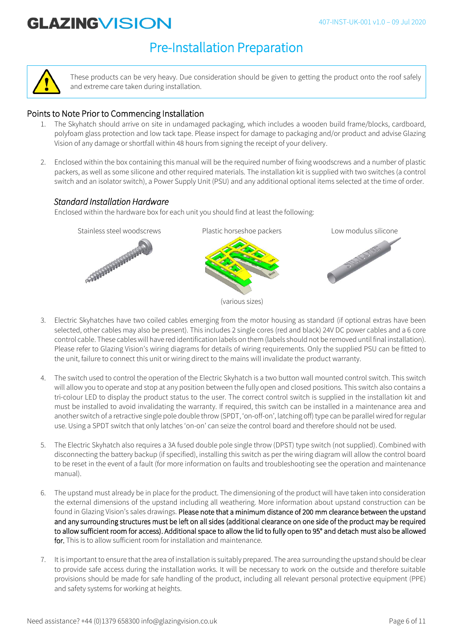### Pre-Installation Preparation



These products can be very heavy. Due consideration should be given to getting the product onto the roof safely and extreme care taken during installation.

### Points to Note Prior to Commencing Installation

- 1. The Skyhatch should arrive on site in undamaged packaging, which includes a wooden build frame/blocks, cardboard, polyfoam glass protection and low tack tape. Please inspect for damage to packaging and/or product and advise Glazing Vision of any damage or shortfall within 48 hours from signing the receipt of your delivery.
- 2. Enclosed within the box containing this manual will be the required number of fixing woodscrews and a number of plastic packers, as well as some silicone and other required materials. The installation kit is supplied with two switches (a control switch and an isolator switch), a Power Supply Unit (PSU) and any additional optional items selected at the time of order.

### *Standard Installation Hardware*

Enclosed within the hardware box for each unit you should find at least the following:



- 3. Electric Skyhatches have two coiled cables emerging from the motor housing as standard (if optional extras have been selected, other cables may also be present). This includes 2 single cores (red and black) 24V DC power cables and a 6 core control cable. These cables will have red identification labels on them (labels should not be removed until final installation). Please refer to Glazing Vision's wiring diagrams for details of wiring requirements. Only the supplied PSU can be fitted to the unit, failure to connect this unit or wiring direct to the mains will invalidate the product warranty.
- The switch used to control the operation of the Electric Skyhatch is a two button wall mounted control switch. This switch will allow you to operate and stop at any position between the fully open and closed positions. This switch also contains a tri-colour LED to display the product status to the user. The correct control switch is supplied in the installation kit and must be installed to avoid invalidating the warranty. If required, this switch can be installed in a maintenance area and another switch of a retractive single pole double throw (SPDT, 'on-off-on', latching off) type can be parallel wired for regular use. Using a SPDT switch that only latches 'on-on' can seize the control board and therefore should not be used.
- 5. The Electric Skyhatch also requires a 3A fused double pole single throw (DPST) type switch (not supplied). Combined with disconnecting the battery backup (if specified), installing this switch as per the wiring diagram will allow the control board to be reset in the event of a fault (for more information on faults and troubleshooting see the operation and maintenance manual).
- 6. The upstand must already be in place for the product. The dimensioning of the product will have taken into consideration the external dimensions of the upstand including all weathering. More information about upstand construction can be found in Glazing Vision's sales drawings. Please note that a minimum distance of 200 mm clearance between the upstand and any surrounding structures must be left on all sides (additional clearance on one side of the product may be required to allow sufficient room for access). Additional space to allow the lid to fully open to 95° and detach must also be allowed for. This is to allow sufficient room for installation and maintenance.
- 7. It is important to ensure that the area of installation is suitably prepared. The area surrounding the upstand should be clear to provide safe access during the installation works. It will be necessary to work on the outside and therefore suitable provisions should be made for safe handling of the product, including all relevant personal protective equipment (PPE) and safety systems for working at heights.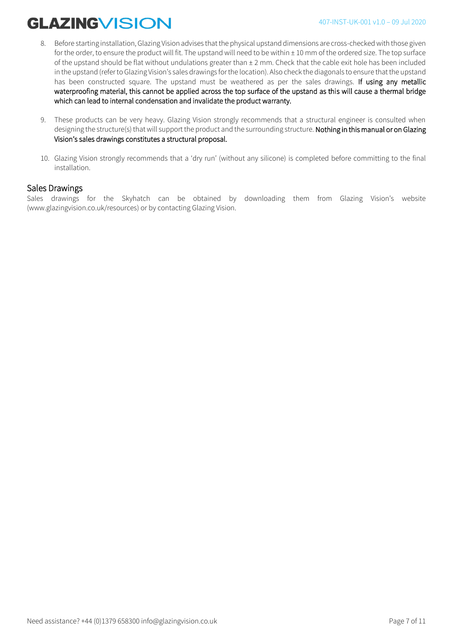- 8. Before starting installation, Glazing Vision advises that the physical upstand dimensions are cross-checked with those given for the order, to ensure the product will fit. The upstand will need to be within  $\pm$  10 mm of the ordered size. The top surface of the upstand should be flat without undulations greater than ± 2 mm. Check that the cable exit hole has been included in the upstand (refer to Glazing Vision's sales drawings for the location). Also check the diagonals to ensure that the upstand has been constructed square. The upstand must be weathered as per the sales drawings. If using any metallic waterproofing material, this cannot be applied across the top surface of the upstand as this will cause a thermal bridge which can lead to internal condensation and invalidate the product warranty.
- 9. These products can be very heavy. Glazing Vision strongly recommends that a structural engineer is consulted when designing the structure(s) that will support the product and the surrounding structure. Nothing in this manual or on Glazing Vision's sales drawings constitutes a structural proposal.
- 10. Glazing Vision strongly recommends that a 'dry run' (without any silicone) is completed before committing to the final installation.

#### Sales Drawings

Sales drawings for the Skyhatch can be obtained by downloading them from Glazing Vision's website (www.glazingvision.co.uk/resources) or by contacting Glazing Vision.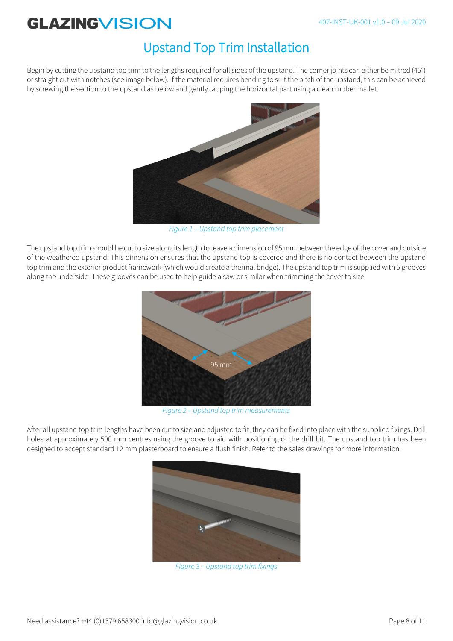### Upstand Top Trim Installation

Begin by cutting the upstand top trim to the lengths required for all sides of the upstand. The corner joints can either be mitred (45°) or straight cut with notches (see image below). If the material requires bending to suit the pitch of the upstand, this can be achieved by screwing the section to the upstand as below and gently tapping the horizontal part using a clean rubber mallet.



*Figure 1 – Upstand top trim placement* 

The upstand top trim should be cut to size along its length to leave a dimension of 95 mm between the edge of the cover and outside of the weathered upstand. This dimension ensures that the upstand top is covered and there is no contact between the upstand top trim and the exterior product framework (which would create a thermal bridge). The upstand top trim is supplied with 5 grooves along the underside. These grooves can be used to help guide a saw or similar when trimming the cover to size.



*Figure 2 – Upstand top trim measurements*

After all upstand top trim lengths have been cut to size and adjusted to fit, they can be fixed into place with the supplied fixings. Drill holes at approximately 500 mm centres using the groove to aid with positioning of the drill bit. The upstand top trim has been designed to accept standard 12 mm plasterboard to ensure a flush finish. Refer to the sales drawings for more information.



*Figure 3 – Upstand top trim fixings*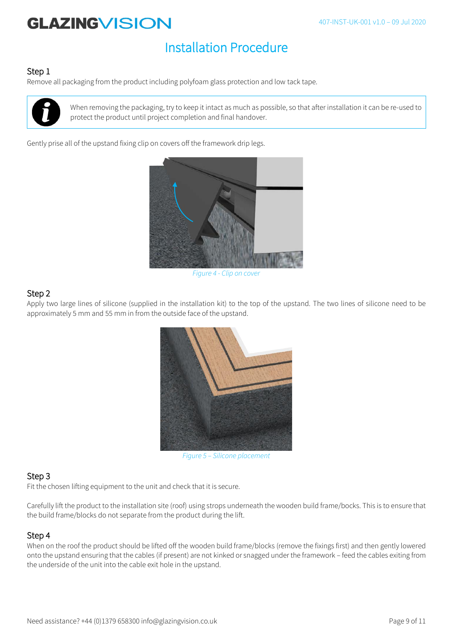## Installation Procedure

#### Step 1

Remove all packaging from the product including polyfoam glass protection and low tack tape.



When removing the packaging, try to keep it intact as much as possible, so that after installation it can be re-used to protect the product until project completion and final handover.

Gently prise all of the upstand fixing clip on covers off the framework drip legs.



*Figure 4 - Clip on cover* 

### Step 2

Apply two large lines of silicone (supplied in the installation kit) to the top of the upstand. The two lines of silicone need to be approximately 5 mm and 55 mm in from the outside face of the upstand.



*Figure 5 – Silicone placement*

### Step 3

Fit the chosen lifting equipment to the unit and check that it is secure.

Carefully lift the product to the installation site (roof) using strops underneath the wooden build frame/bocks. This is to ensure that the build frame/blocks do not separate from the product during the lift.

#### Step 4

When on the roof the product should be lifted off the wooden build frame/blocks (remove the fixings first) and then gently lowered onto the upstand ensuring that the cables (if present) are not kinked or snagged under the framework – feed the cables exiting from the underside of the unit into the cable exit hole in the upstand.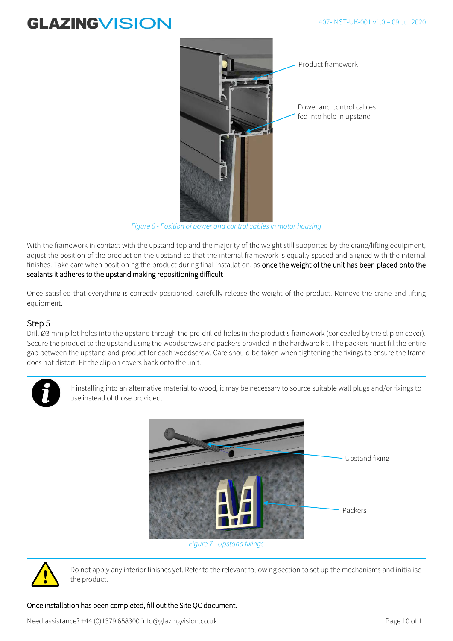#### 407-INST-UK-001 v1.0 – 09 Jul 2020

## **GLAZINGVISION**



*Figure 6 - Position of power and control cables in motor housing*

With the framework in contact with the upstand top and the majority of the weight still supported by the crane/lifting equipment, adjust the position of the product on the upstand so that the internal framework is equally spaced and aligned with the internal finishes. Take care when positioning the product during final installation, as once the weight of the unit has been placed onto the sealants it adheres to the upstand making repositioning difficult.

Once satisfied that everything is correctly positioned, carefully release the weight of the product. Remove the crane and lifting equipment.

#### Step 5

Drill Ø3 mm pilot holes into the upstand through the pre-drilled holes in the product's framework (concealed by the clip on cover). Secure the product to the upstand using the woodscrews and packers provided in the hardware kit. The packers must fill the entire gap between the upstand and product for each woodscrew. Care should be taken when tightening the fixings to ensure the frame does not distort. Fit the clip on covers back onto the unit.



If installing into an alternative material to wood, it may be necessary to source suitable wall plugs and/or fixings to use instead of those provided.



*Figure 7 - Upstand fixings*



Do not apply any interior finishes yet. Refer to the relevant following section to set up the mechanisms and initialise the product.

#### Once installation has been completed, fill out the Site QC document.

Need assistance? +44 (0)1379 658300 info@glazingvision.co.uk Page 10 of 11